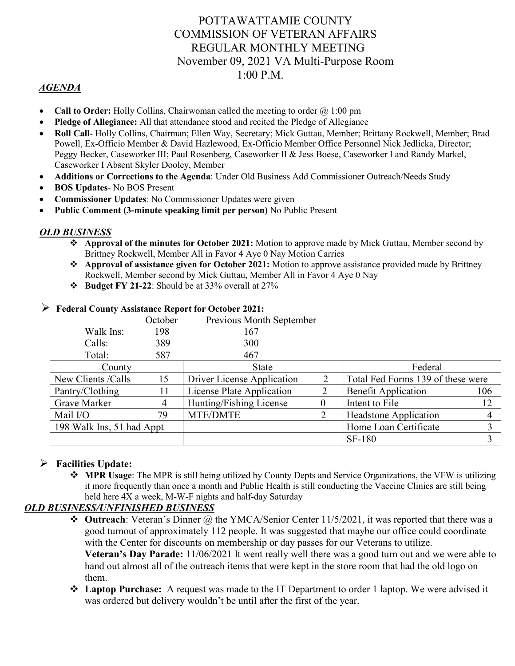# POTTAWATTAMIE COUNTY COMMISSION OF VETERAN AFFAIRS REGULAR MONTHLY MEETING November 09, 2021 VA Multi-Purpose Room 1:00 P.M.

### *AGENDA*

- **Call to Order:** Holly Collins, Chairwoman called the meeting to order  $\omega$  1:00 pm
- **Pledge of Allegiance:** All that attendance stood and recited the Pledge of Allegiance
- **Roll Call** Holly Collins, Chairman; Ellen Way, Secretary; Mick Guttau, Member; Brittany Rockwell, Member; Brad Powell, Ex-Officio Member & David Hazlewood, Ex-Officio Member Office Personnel Nick Jedlicka, Director; Peggy Becker, Caseworker III; Paul Rosenberg, Caseworker II & Jess Boese, Caseworker I and Randy Markel, Caseworker I Absent Skyler Dooley, Member
- **Additions or Corrections to the Agenda**: Under Old Business Add Commissioner Outreach/Needs Study
- **BOS Updates** No BOS Present
- **Commissioner Updates**: No Commissioner Updates were given
- **Public Comment (3-minute speaking limit per person)** No Public Present

#### *OLD BUSINESS*

- **Approval of the minutes for October 2021:** Motion to approve made by Mick Guttau, Member second by Brittney Rockwell, Member All in Favor 4 Aye 0 Nay Motion Carries
- **Approval of assistance given for October 2021:** Motion to approve assistance provided made by Brittney Rockwell, Member second by Mick Guttau, Member All in Favor 4 Aye 0 Nay
- **Budget FY 21-22**: Should be at 33% overall at 27%

|                           | October | Previous Month September   |   |                                   |     |
|---------------------------|---------|----------------------------|---|-----------------------------------|-----|
| Walk Ins:                 | 198     | 167                        |   |                                   |     |
| Calls:                    | 389     | 300                        |   |                                   |     |
| Total:                    | 587     | 467                        |   |                                   |     |
| County                    |         | State                      |   | Federal                           |     |
| New Clients / Calls       | 15      | Driver License Application | 2 | Total Fed Forms 139 of these were |     |
| Pantry/Clothing           |         | License Plate Application  |   | <b>Benefit Application</b>        | 106 |
| Grave Marker              | 4       | Hunting/Fishing License    |   | Intent to File                    | 12  |
| Mail I/O                  | 79      | MTE/DMTE                   |   | <b>Headstone Application</b>      | 4   |
| 198 Walk Ins, 51 had Appt |         |                            |   | Home Loan Certificate             |     |
|                           |         |                            |   | SF-180                            |     |

#### **Federal County Assistance Report for October 2021:**

#### **Facilities Update:**

 **MPR Usage**: The MPR is still being utilized by County Depts and Service Organizations, the VFW is utilizing it more frequently than once a month and Public Health is still conducting the Vaccine Clinics are still being held here  $\overline{4X}$  a week, M-W-F nights and half-day Saturday

#### *OLD BUSINESS/UNFINISHED BUSINESS*

- **Outreach**: Veteran's Dinner @ the YMCA/Senior Center 11/5/2021, it was reported that there was a good turnout of approximately 112 people. It was suggested that maybe our office could coordinate with the Center for discounts on membership or day passes for our Veterans to utilize. **Veteran's Day Parade:** 11/06/2021 It went really well there was a good turn out and we were able to hand out almost all of the outreach items that were kept in the store room that had the old logo on them.
- **Laptop Purchase:** A request was made to the IT Department to order 1 laptop. We were advised it was ordered but delivery wouldn't be until after the first of the year.